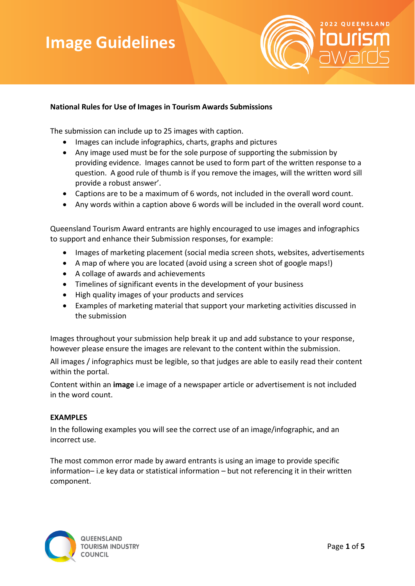# **Image Image Guidelines Guidelines**



## **National Rules for Use of Images in Tourism Awards Submissions**

The submission can include up to 25 images with caption.

- Images can include infographics, charts, graphs and pictures
- Any image used must be for the sole purpose of supporting the submission by providing evidence. Images cannot be used to form part of the written response to a question. A good rule of thumb is íf you remove the images, will the written word sill provide a robust answer'.
- Captions are to be a maximum of 6 words, not included in the overall word count.
- Any words within a caption above 6 words will be included in the overall word count.

Queensland Tourism Award entrants are highly encouraged to use images and infographics to support and enhance their Submission responses, for example:

- Images of marketing placement (social media screen shots, websites, advertisements
- A map of where you are located (avoid using a screen shot of google maps!)
- A collage of awards and achievements
- Timelines of significant events in the development of your business
- High quality images of your products and services
- Examples of marketing material that support your marketing activities discussed in the submission

Images throughout your submission help break it up and add substance to your response, however please ensure the images are relevant to the content within the submission.

All images / infographics must be legible, so that judges are able to easily read their content within the portal.

Content within an **image** i.e image of a newspaper article or advertisement is not included in the word count.

### **EXAMPLES**

In the following examples you will see the correct use of an image/infographic, and an incorrect use.

The most common error made by award entrants is using an image to provide specific information– i.e key data or statistical information – but not referencing it in their written component.

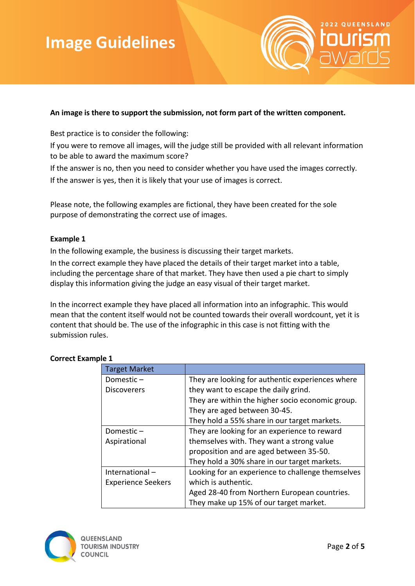

## **An image is there to support the submission, not form part of the written component.**

Best practice is to consider the following:

If you were to remove all images, will the judge still be provided with all relevant information to be able to award the maximum score?

If the answer is no, then you need to consider whether you have used the images correctly.

If the answer is yes, then it is likely that your use of images is correct.

Please note, the following examples are fictional, they have been created for the sole purpose of demonstrating the correct use of images.

### **Example 1**

In the following example, the business is discussing their target markets.

In the correct example they have placed the details of their target market into a table, including the percentage share of that market. They have then used a pie chart to simply display this information giving the judge an easy visual of their target market.

In the incorrect example they have placed all information into an infographic. This would mean that the content itself would not be counted towards their overall wordcount, yet it is content that should be. The use of the infographic in this case is not fitting with the submission rules.

| <b>Target Market</b>      |                                                   |
|---------------------------|---------------------------------------------------|
| Domestic $-$              | They are looking for authentic experiences where  |
| <b>Discoverers</b>        | they want to escape the daily grind.              |
|                           | They are within the higher socio economic group.  |
|                           | They are aged between 30-45.                      |
|                           | They hold a 55% share in our target markets.      |
| Domestic-                 | They are looking for an experience to reward      |
| Aspirational              | themselves with. They want a strong value         |
|                           | proposition and are aged between 35-50.           |
|                           | They hold a 30% share in our target markets.      |
| International-            | Looking for an experience to challenge themselves |
| <b>Experience Seekers</b> | which is authentic.                               |
|                           | Aged 28-40 from Northern European countries.      |
|                           | They make up 15% of our target market.            |

## **Correct Example 1**

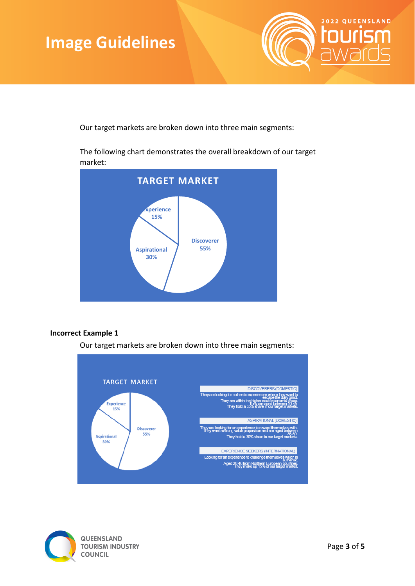

Our target markets are broken down into three main segments:

The following chart demonstrates the overall breakdown of our target market:



### **Incorrect Example 1**

Our target markets are broken down into three main segments:



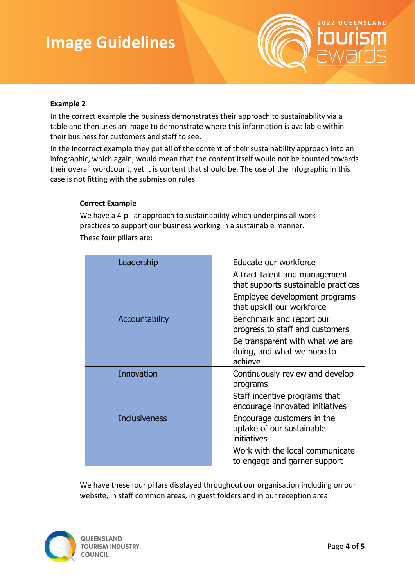

## **Example 2**

In the correct example the business demonstrates their approach to sustainability via a table and then uses an image to demonstrate where this information is available within their business for customers and staff to see.

In the incorrect example they put all of the content of their sustainability approach into an infographic, which again, would mean that the content itself would not be counted towards their overall wordcount, yet it is content that should be. The use of the infographic in this case is not fitting with the submission rules.

### **Correct Example**

We have a 4-pliiar approach to sustainability which underpins all work practices to support our business working in a sustainable manner. These four pillars are:

| Leadership           | Educate our workforce<br>Attract talent and management<br>that supports sustainable practices |
|----------------------|-----------------------------------------------------------------------------------------------|
|                      | Employee development programs<br>that upskill our workforce                                   |
| Accountability       | Benchmark and report our<br>progress to staff and customers                                   |
|                      | Be transparent with what we are<br>doing, and what we hope to<br>achieve                      |
| Innovation           | Continuously review and develop<br>programs                                                   |
|                      | Staff incentive programs that<br>encourage innovated initiatives                              |
| <b>Inclusiveness</b> | Encourage customers in the<br>uptake of our sustainable<br>initiatives                        |
|                      | Work with the local communicate<br>to engage and garner support                               |

We have these four pillars displayed throughout our organisation including on our website, in staff common areas, in guest folders and in our reception area.